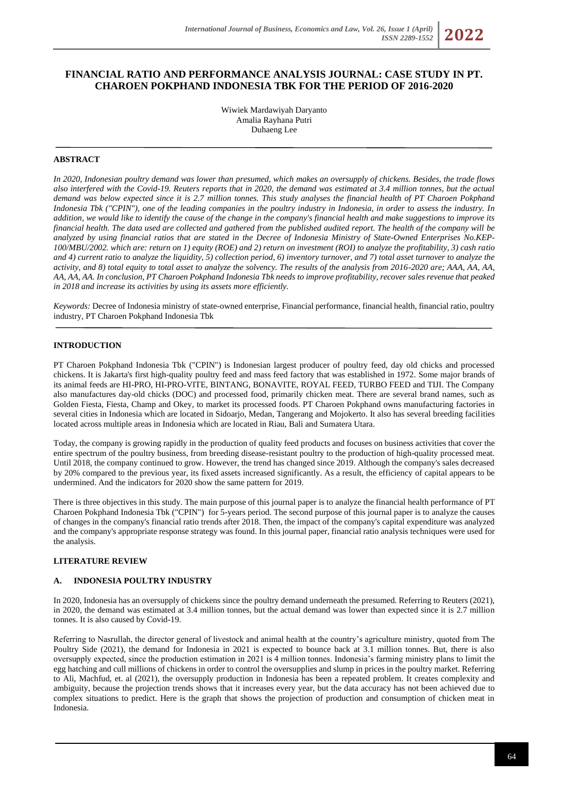# **FINANCIAL RATIO AND PERFORMANCE ANALYSIS JOURNAL: CASE STUDY IN PT. CHAROEN POKPHAND INDONESIA TBK FOR THE PERIOD OF 2016-2020**

Wiwiek Mardawiyah Daryanto Amalia Rayhana Putri Duhaeng Lee

# **ABSTRACT**

*In 2020, Indonesian poultry demand was lower than presumed, which makes an oversupply of chickens. Besides, the trade flows also interfered with the Covid-19. Reuters reports that in 2020, the demand was estimated at 3.4 million tonnes, but the actual demand was below expected since it is 2.7 million tonnes. This study analyses the financial health of PT Charoen Pokphand Indonesia Tbk ("CPIN"), one of the leading companies in the poultry industry in Indonesia, in order to assess the industry. In addition, we would like to identify the cause of the change in the company's financial health and make suggestions to improve its financial health. The data used are collected and gathered from the published audited report. The health of the company will be analyzed by using financial ratios that are stated in the Decree of Indonesia Ministry of State-Owned Enterprises No.KEP-100/MBU/2002. which are: return on 1) equity (ROE) and 2) return on investment (ROI) to analyze the profitability, 3) cash ratio and 4) current ratio to analyze the liquidity, 5) collection period, 6) inventory turnover, and 7) total asset turnover to analyze the activity, and 8) total equity to total asset to analyze the solvency. The results of the analysis from 2016-2020 are; AAA, AA, AA, AA, AA, AA. In conclusion, PT Charoen Pokphand Indonesia Tbk needs to improve profitability, recover sales revenue that peaked in 2018 and increase its activities by using its assets more efficiently.*

*Keywords:* Decree of Indonesia ministry of state-owned enterprise, Financial performance, financial health, financial ratio, poultry industry, PT Charoen Pokphand Indonesia Tbk

### **INTRODUCTION**

PT Charoen Pokphand Indonesia Tbk ("CPIN") is Indonesian largest producer of poultry feed, day old chicks and processed chickens. It is Jakarta's first high-quality poultry feed and mass feed factory that was established in 1972. Some major brands of its animal feeds are HI-PRO, HI-PRO-VITE, BINTANG, BONAVITE, ROYAL FEED, TURBO FEED and TIJI. The Company also manufactures day-old chicks (DOC) and processed food, primarily chicken meat. There are several brand names, such as Golden Fiesta, Fiesta, Champ and Okey, to market its processed foods. PT Charoen Pokphand owns manufacturing factories in several cities in Indonesia which are located in Sidoarjo, Medan, Tangerang and Mojokerto. It also has several breeding facilities located across multiple areas in Indonesia which are located in Riau, Bali and Sumatera Utara.

Today, the company is growing rapidly in the production of quality feed products and focuses on business activities that cover the entire spectrum of the poultry business, from breeding disease-resistant poultry to the production of high-quality processed meat. Until 2018, the company continued to grow. However, the trend has changed since 2019. Although the company's sales decreased by 20% compared to the previous year, its fixed assets increased significantly. As a result, the efficiency of capital appears to be undermined. And the indicators for 2020 show the same pattern for 2019.

There is three objectives in this study. The main purpose of this journal paper is to analyze the financial health performance of PT Charoen Pokphand Indonesia Tbk ("CPIN") for 5-years period. The second purpose of this journal paper is to analyze the causes of changes in the company's financial ratio trends after 2018. Then, the impact of the company's capital expenditure was analyzed and the company's appropriate response strategy was found. In this journal paper, financial ratio analysis techniques were used for the analysis.

#### **LITERATURE REVIEW**

# **A. INDONESIA POULTRY INDUSTRY**

In 2020, Indonesia has an oversupply of chickens since the poultry demand underneath the presumed. Referring to Reuters (2021), in 2020, the demand was estimated at 3.4 million tonnes, but the actual demand was lower than expected since it is 2.7 million tonnes. It is also caused by Covid-19.

Referring to Nasrullah, the director general of livestock and animal health at the country's agriculture ministry, quoted from The Poultry Side (2021), the demand for Indonesia in 2021 is expected to bounce back at 3.1 million tonnes. But, there is also oversupply expected, since the production estimation in 2021 is 4 million tonnes. Indonesia's farming ministry plans to limit the egg hatching and cull millions of chickens in order to control the oversupplies and slump in prices in the poultry market. Referring to Ali, Machfud, et. al (2021), the oversupply production in Indonesia has been a repeated problem. It creates complexity and ambiguity, because the projection trends shows that it increases every year, but the data accuracy has not been achieved due to complex situations to predict. Here is the graph that shows the projection of production and consumption of chicken meat in Indonesia.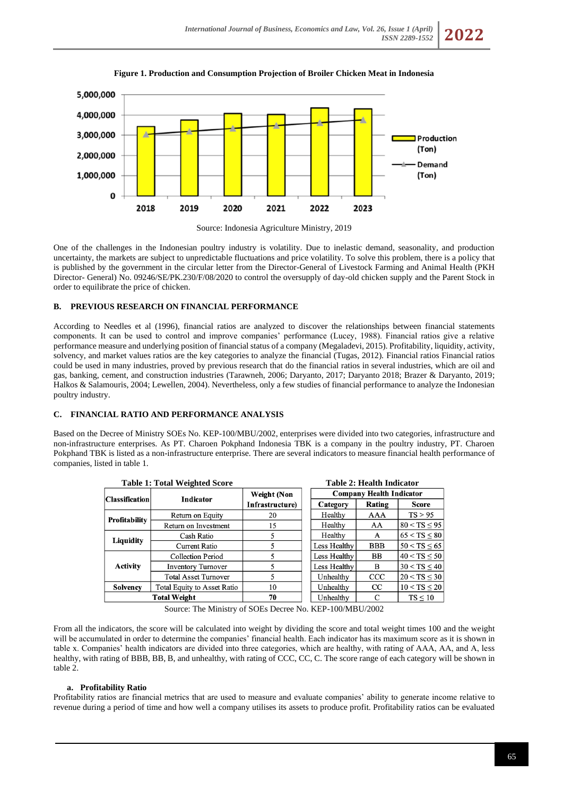





One of the challenges in the Indonesian poultry industry is volatility. Due to inelastic demand, seasonality, and production uncertainty, the markets are subject to unpredictable fluctuations and price volatility. To solve this problem, there is a policy that is published by the government in the circular letter from the Director-General of Livestock Farming and Animal Health (PKH Director- General) No. 09246/SE/PK.230/F/08/2020 to control the oversupply of day-old chicken supply and the Parent Stock in order to equilibrate the price of chicken.

# **B. PREVIOUS RESEARCH ON FINANCIAL PERFORMANCE**

According to Needles et al (1996), financial ratios are analyzed to discover the relationships between financial statements components. It can be used to control and improve companies' performance (Lucey, 1988). Financial ratios give a relative performance measure and underlying position of financial status of a company (Megaladevi, 2015). Profitability, liquidity, activity, solvency, and market values ratios are the key categories to analyze the financial (Tugas, 2012). Financial ratios Financial ratios could be used in many industries, proved by previous research that do the financial ratios in several industries, which are oil and gas, banking, cement, and construction industries (Tarawneh, 2006; Daryanto, 2017; Daryanto 2018; Brazer & Daryanto, 2019; Halkos & Salamouris, 2004; Lewellen, 2004). Nevertheless, only a few studies of financial performance to analyze the Indonesian poultry industry.

# **C. FINANCIAL RATIO AND PERFORMANCE ANALYSIS**

Based on the Decree of Ministry SOEs No. KEP-100/MBU/2002, enterprises were divided into two categories, infrastructure and non-infrastructure enterprises. As PT. Charoen Pokphand Indonesia TBK is a company in the poultry industry, PT. Charoen Pokphand TBK is listed as a non-infrastructure enterprise. There are several indicators to measure financial health performance of companies, listed in table 1.

|                       | <b>Table 1: Total Weighted Score</b> | <b>Table 2: Health Indicator</b> |  |                                 |            |                     |  |  |  |
|-----------------------|--------------------------------------|----------------------------------|--|---------------------------------|------------|---------------------|--|--|--|
| <b>Classification</b> | <b>Indicator</b>                     | Weight (Non<br>Infrastructure)   |  | <b>Company Health Indicator</b> |            |                     |  |  |  |
|                       |                                      |                                  |  | Category                        | Rating     | <b>Score</b>        |  |  |  |
| <b>Profitability</b>  | Return on Equity                     | 20                               |  | Healthy                         | AAA        | TS > 95             |  |  |  |
|                       | Return on Investment                 | 15                               |  | Healthy                         | AA         | $80 < TS \leq 95$   |  |  |  |
|                       | Cash Ratio                           |                                  |  | Healthy                         | A          | $65 < TS \leq 80$   |  |  |  |
| Liquidity             | Current Ratio                        |                                  |  | Less Healthy                    | <b>BBB</b> | $50 <$ TS $\leq 65$ |  |  |  |
| <b>Activity</b>       | <b>Collection Period</b>             |                                  |  | Less Healthy                    | <b>BB</b>  | $40 < TS \leq 50$   |  |  |  |
|                       | <b>Inventory Turnover</b>            |                                  |  | Less Healthy                    | B          | $30 < TS \leq 40$   |  |  |  |
|                       | <b>Total Asset Turnover</b>          |                                  |  | Unhealthy                       | CCC        | $20 < TS \leq 30$   |  |  |  |
| <b>Solvency</b>       | <b>Total Equity to Asset Ratio</b>   | 10                               |  | Unhealthy                       | <b>CC</b>  | $10 < TS \leq 20$   |  |  |  |
|                       | <b>Total Weight</b>                  | 70                               |  | Unhealthy                       | C          | TS < 10             |  |  |  |

Source: The Ministry of SOEs Decree No. KEP-100/MBU/2002

From all the indicators, the score will be calculated into weight by dividing the score and total weight times 100 and the weight will be accumulated in order to determine the companies' financial health. Each indicator has its maximum score as it is shown in table x. Companies' health indicators are divided into three categories, which are healthy, with rating of AAA, AA, and A, less healthy, with rating of BBB, BB, B, and unhealthy, with rating of CCC, CC, C. The score range of each category will be shown in table 2.

# **a. Profitability Ratio**

Profitability ratios are financial metrics that are used to measure and evaluate companies' ability to generate income relative to revenue during a period of time and how well a company utilises its assets to produce profit. Profitability ratios can be evaluated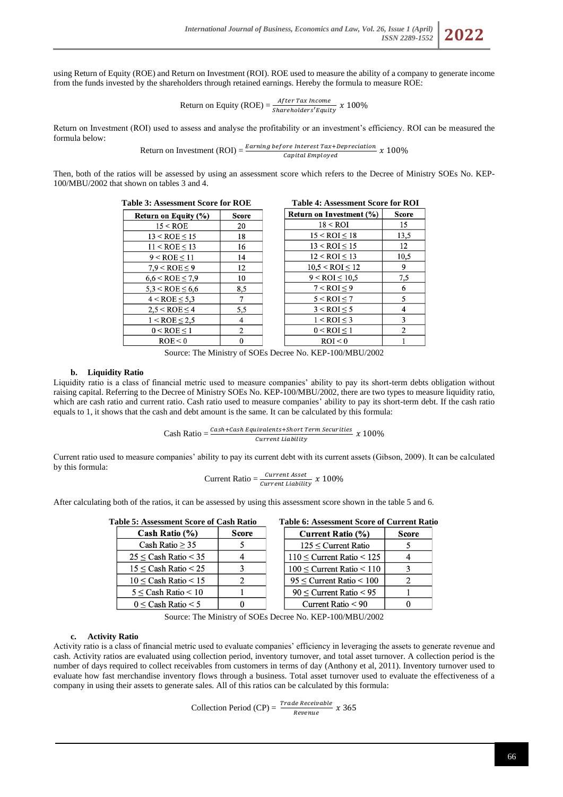using Return of Equity (ROE) and Return on Investment (ROI). ROE used to measure the ability of a company to generate income from the funds invested by the shareholders through retained earnings. Hereby the formula to measure ROE:

Return on Equity (ROE) = 
$$
\frac{After Tax Income}{Sharcholders' Equity} x 100\%
$$

Return on Investment (ROI) used to assess and analyse the profitability or an investment's efficiency. ROI can be measured the formula below:

Return on Investment (ROI) = 
$$
\frac{Earning\ before\ Interest\ Tax+Depreciation}{Capital\ Emploved} \times 100\%
$$

Then, both of the ratios will be assessed by using an assessment score which refers to the Decree of Ministry SOEs No. KEP-100/MBU/2002 that shown on tables 3 and 4.

| <b>Table 3: Assessment Score for ROE</b> | <b>Table 4: Assessment Score for ROI</b> |
|------------------------------------------|------------------------------------------|
|                                          |                                          |

| <b>Return on Equity (%)</b> | <b>Score</b> |
|-----------------------------|--------------|
| 15 < ROE                    | 20           |
| $13 < ROE \le 15$           | 18           |
| 11 < ROE < 13               | 16           |
| $9 < ROE \leq 11$           | 14           |
| $7.9 <$ ROE $\leq 9$        | 12           |
| $6,6 <$ ROE $\leq 7,9$      | 10           |
| $5.3 <$ ROE $\leq 6.6$      | 8,5          |
| $4 <$ ROE $\leq 5.3$        | 7            |
| $2.5 < ROE \leq 4$          | 5,5          |
| $1 <$ ROE $\leq 2.5$        | 4            |
| $0 < ROE \leq 1$            | 2            |
| ROE < 0                     | 0            |

| <b>Table 4: Assessment Score for ROI</b> |              |
|------------------------------------------|--------------|
| Return on Investment (%)                 | <b>Score</b> |
| $18 <$ ROI                               | 15           |
| $15 < ROI \leq 18$                       | 13,5         |
| $13 <$ ROI $\leq 15$                     | 12           |
| $12 <$ ROI $\leq 13$                     | 10,5         |
| $10,5 <$ ROI $\leq 12$                   | 9            |
| $9 <$ ROI $\leq 10.5$                    | 7,5          |
| $7 <$ ROI $\leq 9$                       | 6            |
| $5 <$ ROI $\leq 7$                       | 5            |
| $3 <$ ROI $\leq 5$                       | 4            |
| $1 <$ ROI $\leq$ 3                       | 3            |
| $0 <$ ROI $\leq 1$                       | 2            |
| ROI < 0                                  |              |

Source: The Ministry of SOEs Decree No. KEP-100/MBU/2002

### **b. Liquidity Ratio**

Liquidity ratio is a class of financial metric used to measure companies' ability to pay its short-term debts obligation without raising capital. Referring to the Decree of Ministry SOEs No. KEP-100/MBU/2002, there are two types to measure liquidity ratio, which are cash ratio and current ratio. Cash ratio used to measure companies' ability to pay its short-term debt. If the cash ratio equals to 1, it shows that the cash and debt amount is the same. It can be calculated by this formula:

> Cash Ratio =  $\frac{Cash + Cash \; Equivalents + Short \; Term \; Securities}{Cumont \; Listi/its}$  x 100% Current Liability

Current ratio used to measure companies' ability to pay its current debt with its current assets (Gibson, 2009). It can be calculated by this formula:

$$
Current Ratio = \frac{Current Asset}{Current Liability} x 100\%
$$

After calculating both of the ratios, it can be assessed by using this assessment score shown in the table 5 and 6.

| <b>Table 5: Assessment Score of Cash Ratio</b> |       |  |  |  |  |  |  |
|------------------------------------------------|-------|--|--|--|--|--|--|
| Cash Ratio $(\%)$                              | Score |  |  |  |  |  |  |
| Cash Ratio $\geq 35$                           |       |  |  |  |  |  |  |
| $25 \leq$ Cash Ratio $\leq 35$                 |       |  |  |  |  |  |  |
| $15 \leq$ Cash Ratio $\leq 25$                 |       |  |  |  |  |  |  |
| $10 \leq$ Cash Ratio $\leq 15$                 | 2     |  |  |  |  |  |  |
| $5 \leq$ Cash Ratio $\leq 10$                  |       |  |  |  |  |  |  |
| $0 \leq$ Cash Ratio $\leq 5$                   |       |  |  |  |  |  |  |
|                                                |       |  |  |  |  |  |  |

#### **Table 6: Assessment Score of Current Ratio**

| Current Ratio (%)                   | Score |
|-------------------------------------|-------|
| $125 \leq$ Current Ratio            |       |
| $110 \leq$ Current Ratio $\leq 125$ |       |
| $100 \leq$ Current Ratio $< 110$    |       |
| $95 \le$ Current Ratio $\le 100$    | 2     |
| $90 \le$ Current Ratio $< 95$       |       |
| Current Ratio < 90                  |       |

Source: The Ministry of SOEs Decree No. KEP-100/MBU/2002

#### **c. Activity Ratio**

Activity ratio is a class of financial metric used to evaluate companies' efficiency in leveraging the assets to generate revenue and cash. Activity ratios are evaluated using collection period, inventory turnover, and total asset turnover. A collection period is the number of days required to collect receivables from customers in terms of day (Anthony et al, 2011). Inventory turnover used to evaluate how fast merchandise inventory flows through a business. Total asset turnover used to evaluate the effectiveness of a company in using their assets to generate sales. All of this ratios can be calculated by this formula:

Collection Period (CP) =  $\frac{Trace\text{ Receivable}}{\text{Revenue}} x 365$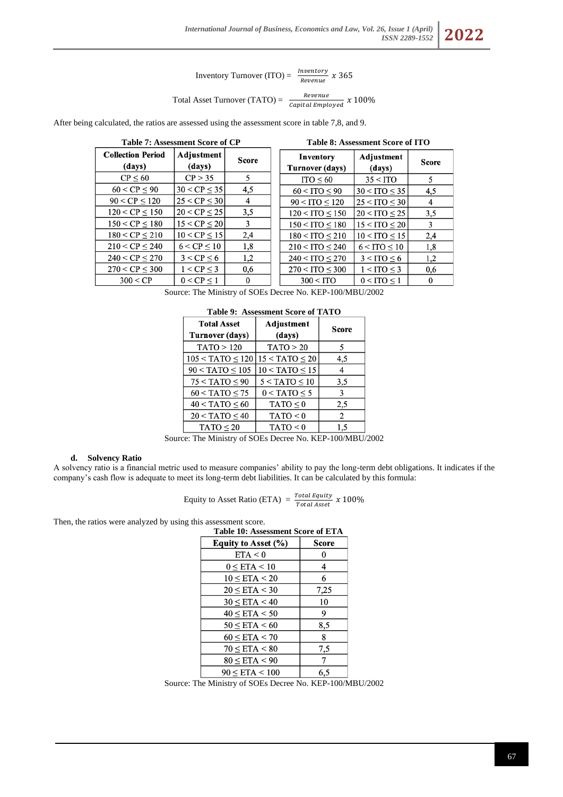Inventory Turnover (ITO) =  $\frac{Inventory}{Revenue} x 365$ 

Total Asset Turnover (TATO) = 
$$
\frac{Revenue}{Capital\,Employee} \times 100\%
$$

After being calculated, the ratios are assessed using the assessment score in table 7,8, and 9.

|                                    | <b>Table 7: Assessment Score of CP</b> |          |  | <b>Table 8: Assessment Score of ITO</b> |                      |              |  |
|------------------------------------|----------------------------------------|----------|--|-----------------------------------------|----------------------|--------------|--|
| <b>Collection Period</b><br>(days) | Adjustment<br>(days)                   | Score    |  | Inventory<br>Turnover (days)            |                      | <b>Score</b> |  |
| CP < 60                            | CP > 35                                | 5        |  | $ITO \leq 60$                           | $35 <$ ITO           | 5            |  |
| 60 < CP < 90                       | 30 < CP < 35                           | 4,5      |  | $60 <$ ITO $< 90$                       | $30 <$ ITO $\leq 35$ | 4,5          |  |
| $90 < CP \leq 120$                 | 25 < CP < 30                           | 4        |  | $90 <$ ITO $< 120$                      | $25 <$ ITO $<$ 30    | 4            |  |
| $120 < CP \le 150$                 | $20 < CP \leq 25$                      | 3,5      |  | $120 <$ ITO $< 150$                     | $20 <$ ITO $\leq 25$ | 3,5          |  |
| $150 < CP \le 180$                 | $15 < CP \leq 20$                      | 3        |  | $150 <$ ITO $< 180$                     | $15 <$ ITO $\leq 20$ | 3            |  |
| $180 < CP \leq 210$                | $10 < CP \le 15$                       | 2,4      |  | $180 <$ ITO $\leq 210$                  | $10 <$ ITO $\leq 15$ | 2,4          |  |
| 210 < CP < 240                     | 6 < CP < 10                            | 1,8      |  | $210 <$ ITO $\leq 240$                  | $6 <$ ITO $\leq 10$  | 1,8          |  |
| $240 < CP \leq 270$                | $3 < CP \le 6$                         | 1,2      |  | $240 <$ ITO $\leq$ 270                  | $3 <$ ITO $< 6$      | 1,2          |  |
| $270 < CP \leq 300$                | $1 < CP \leq 3$                        | 0,6      |  | $270 <$ ITO $<$ 300                     | $1 <$ ITO $<$ 3      | 0,6          |  |
| 300 < CP                           | $0 < CP \leq 1$                        | $\bf{0}$ |  | $300 <$ ITO                             | $0 < ITO \leq 1$     | $\bf{0}$     |  |

Source: The Ministry of SOEs Decree No. KEP-100/MBU/2002

| <b>Total Asset</b><br><b>Turnover (days)</b> | Adjustment<br>(days) | Score |  |  |
|----------------------------------------------|----------------------|-------|--|--|
| TATO > 120                                   | TATO > 20            | 5     |  |  |
| $105 < TATO \leq 120$                        | $15 < TATO \leq 20$  | 4,5   |  |  |
| $90 < TATO \leq 105$                         | $10 < TATO \leq 15$  |       |  |  |
| $75 < TATO \leq 90$                          | $5 < TATO \leq 10$   | 3,5   |  |  |
| $60 < TATO \le 75$                           | $0 < TATO \leq 5$    | 3     |  |  |
| $40 < TATO \leq 60$                          | $TATO \leq 0$        | 2,5   |  |  |
| $20 < TATO \leq 40$                          | TATO < 0             | 2     |  |  |
| $TATO \leq 20$                               | TATO < 0             | 1,5   |  |  |

|  | Table 9: Assessment Score of TATO |  |
|--|-----------------------------------|--|
|--|-----------------------------------|--|

Source: The Ministry of SOEs Decree No. KEP-100/MBU/2002

### **d. Solvency Ratio**

A solvency ratio is a financial metric used to measure companies' ability to pay the long-term debt obligations. It indicates if the company's cash flow is adequate to meet its long-term debt liabilities. It can be calculated by this formula:

Equity to Asset Ratio (ETA) = 
$$
\frac{Total \; Equity}{Total \; Asset} \; x \; 100\%
$$

Then, the ratios were analyzed by using this assessment score.

| <b>Table 10: Assessment Score of ETA</b> |       |
|------------------------------------------|-------|
| Equity to Asset (%)                      | Score |
| ETA < 0                                  | 0     |
| $0 \leq$ ETA $< 10$                      | 4     |
| $10 \leq ETA \leq 20$                    | 6     |
| $20 \leq$ ETA $<$ 30                     | 7,25  |
| $30 \leq ETA < 40$                       | 10    |
| $40 \leq ETA \leq 50$                    | 9     |
| $50 \leq ETA \leq 60$                    | 8,5   |
| $60 \leq ETA \leq 70$                    | 8     |
| $70 \leq ETA \leq 80$                    | 7,5   |
| $80 \leq$ ETA $< 90$                     |       |
| $90 \leq$ ETA $< 100$                    | 6,5   |

Source: The Ministry of SOEs Decree No. KEP-100/MBU/2002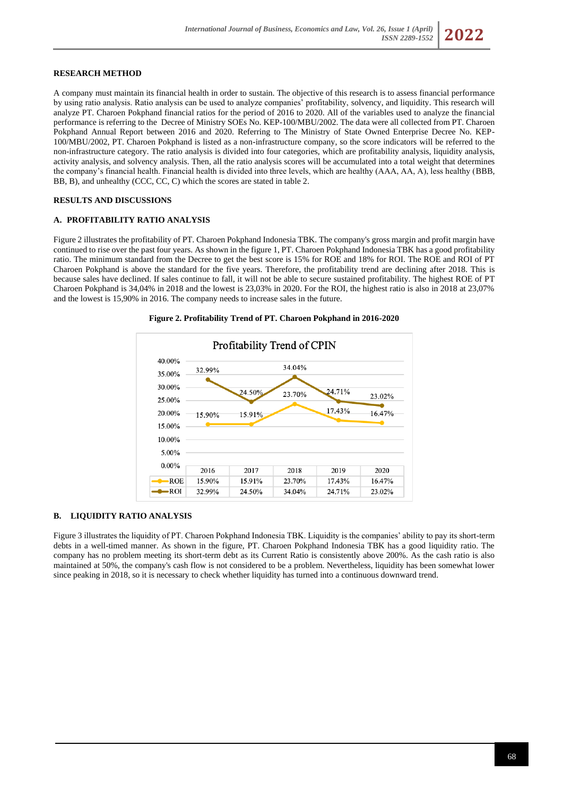### **RESEARCH METHOD**

A company must maintain its financial health in order to sustain. The objective of this research is to assess financial performance by using ratio analysis. Ratio analysis can be used to analyze companies' profitability, solvency, and liquidity. This research will analyze PT. Charoen Pokphand financial ratios for the period of 2016 to 2020. All of the variables used to analyze the financial performance is referring to the Decree of Ministry SOEs No. KEP-100/MBU/2002. The data were all collected from PT. Charoen Pokphand Annual Report between 2016 and 2020. Referring to The Ministry of State Owned Enterprise Decree No. KEP-100/MBU/2002, PT. Charoen Pokphand is listed as a non-infrastructure company, so the score indicators will be referred to the non-infrastructure category. The ratio analysis is divided into four categories, which are profitability analysis, liquidity analysis, activity analysis, and solvency analysis. Then, all the ratio analysis scores will be accumulated into a total weight that determines the company's financial health. Financial health is divided into three levels, which are healthy (AAA, AA, A), less healthy (BBB, BB, B), and unhealthy (CCC, CC, C) which the scores are stated in table 2.

# **RESULTS AND DISCUSSIONS**

### **A. PROFITABILITY RATIO ANALYSIS**

Figure 2 illustrates the profitability of PT. Charoen Pokphand Indonesia TBK. The company's gross margin and profit margin have continued to rise over the past four years. As shown in the figure 1, PT. Charoen Pokphand Indonesia TBK has a good profitability ratio. The minimum standard from the Decree to get the best score is 15% for ROE and 18% for ROI. The ROE and ROI of PT Charoen Pokphand is above the standard for the five years. Therefore, the profitability trend are declining after 2018. This is because sales have declined. If sales continue to fall, it will not be able to secure sustained profitability. The highest ROE of PT Charoen Pokphand is 34,04% in 2018 and the lowest is 23,03% in 2020. For the ROI, the highest ratio is also in 2018 at 23,07% and the lowest is 15,90% in 2016. The company needs to increase sales in the future.



#### **Figure 2. Profitability Trend of PT. Charoen Pokphand in 2016-2020**

### **B. LIQUIDITY RATIO ANALYSIS**

Figure 3 illustrates the liquidity of PT. Charoen Pokphand Indonesia TBK. Liquidity is the companies' ability to pay its short-term debts in a well-timed manner. As shown in the figure, PT. Charoen Pokphand Indonesia TBK has a good liquidity ratio. The company has no problem meeting its short-term debt as its Current Ratio is consistently above 200%. As the cash ratio is also maintained at 50%, the company's cash flow is not considered to be a problem. Nevertheless, liquidity has been somewhat lower since peaking in 2018, so it is necessary to check whether liquidity has turned into a continuous downward trend.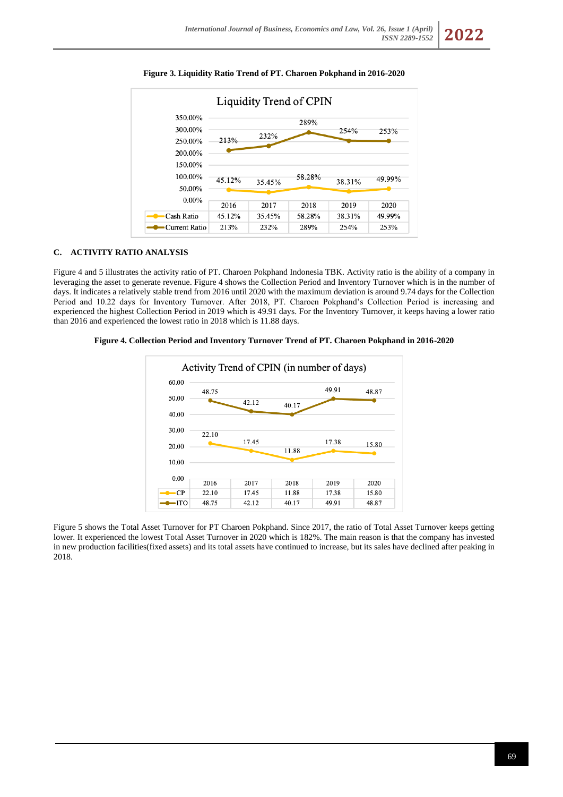

**Figure 3. Liquidity Ratio Trend of PT. Charoen Pokphand in 2016-2020**

# **C. ACTIVITY RATIO ANALYSIS**

Figure 4 and 5 illustrates the activity ratio of PT. Charoen Pokphand Indonesia TBK. Activity ratio is the ability of a company in leveraging the asset to generate revenue. Figure 4 shows the Collection Period and Inventory Turnover which is in the number of days. It indicates a relatively stable trend from 2016 until 2020 with the maximum deviation is around 9.74 days for the Collection Period and 10.22 days for Inventory Turnover. After 2018, PT. Charoen Pokphand's Collection Period is increasing and experienced the highest Collection Period in 2019 which is 49.91 days. For the Inventory Turnover, it keeps having a lower ratio than 2016 and experienced the lowest ratio in 2018 which is 11.88 days.

**Figure 4. Collection Period and Inventory Turnover Trend of PT. Charoen Pokphand in 2016-2020**



Figure 5 shows the Total Asset Turnover for PT Charoen Pokphand. Since 2017, the ratio of Total Asset Turnover keeps getting lower. It experienced the lowest Total Asset Turnover in 2020 which is 182%. The main reason is that the company has invested in new production facilities(fixed assets) and its total assets have continued to increase, but its sales have declined after peaking in 2018.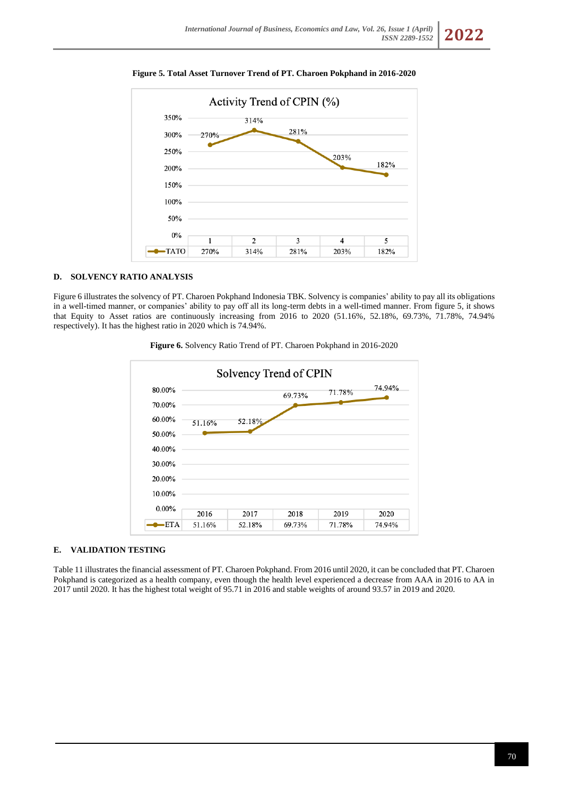

# **Figure 5. Total Asset Turnover Trend of PT. Charoen Pokphand in 2016-2020**

# **D. SOLVENCY RATIO ANALYSIS**

Figure 6 illustrates the solvency of PT. Charoen Pokphand Indonesia TBK. Solvency is companies' ability to pay all its obligations in a well-timed manner, or companies' ability to pay off all its long-term debts in a well-timed manner. From figure 5, it shows that Equity to Asset ratios are continuously increasing from 2016 to 2020 (51.16%, 52.18%, 69.73%, 71.78%, 74.94% respectively). It has the highest ratio in 2020 which is 74.94%.



**Figure 6.** Solvency Ratio Trend of PT. Charoen Pokphand in 2016-2020

### **E. VALIDATION TESTING**

Table 11 illustrates the financial assessment of PT. Charoen Pokphand. From 2016 until 2020, it can be concluded that PT. Charoen Pokphand is categorized as a health company, even though the health level experienced a decrease from AAA in 2016 to AA in 2017 until 2020. It has the highest total weight of 95.71 in 2016 and stable weights of around 93.57 in 2019 and 2020.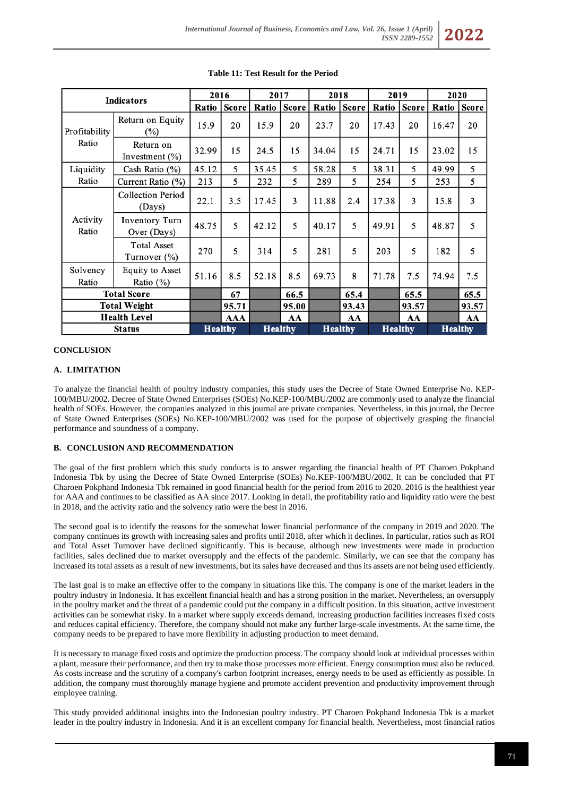| <b>Indicators</b>   |                                        | 2016           |              | 2017           |              | 2018           |       | 2019           |              | 2020           |              |
|---------------------|----------------------------------------|----------------|--------------|----------------|--------------|----------------|-------|----------------|--------------|----------------|--------------|
|                     |                                        | Ratio          | <b>Score</b> | Ratio          | <b>Score</b> | Ratio          | Score | Ratio          | <b>Score</b> | Ratio          | <b>Score</b> |
| Profitability       | Return on Equity<br>$(\%)$             | 15.9           | 20           | 15.9           | 20           | 23.7           | 20    | 17.43          | 20           | 16.47          | 20           |
| Ratio               | Return on<br>Investment $(\%)$         | 32.99          | 15           | 24.5           | 15           | 34.04          | 15    | 24.71          | 15           | 23.02          | 15           |
| Liquidity           | Cash Ratio (%)                         | 45.12          | 5            | 35.45          | 5            | 58.28          | 5     | 38.31          | 5            | 49.99          | 5            |
| Ratio               | Current Ratio (%)                      | 213            | 5            | 232            | 5            | 289            | 5     | 254            | 5            | 253            | 5            |
| Activity<br>Ratio   | Collection Period<br>(Days)            | 22.1           | 3.5          | 17.45          | 3            | 11.88          | 2.4   | 17.38          | 3            | 15.8           | 3            |
|                     | Inventory Turn<br>Over (Days)          | 48.75          | 5            | 42.12          | 5            | 40.17          | 5     | 49.91          | 5            | 48.87          | 5            |
|                     | <b>Total Asset</b><br>Turnover $(\%)$  | 270            | 5            | 314            | 5            | 281            | 5     | 203            | 5            | 182            | 5            |
| Solvency<br>Ratio   | <b>Equity to Asset</b><br>Ratio $(\%)$ | 51.16          | 8.5          | 52.18          | 8.5          | 69.73          | 8     | 71.78          | 7.5          | 74.94          | 7.5          |
| <b>Total Score</b>  |                                        |                | 67           |                | 66.5         |                | 65.4  |                | 65.5         |                | 65.5         |
| <b>Total Weight</b> |                                        |                | 95.71        |                | 95.00        |                | 93.43 |                | 93.57        |                | 93.57        |
| <b>Health Level</b> |                                        |                | AAA          |                | AA           |                | AA    |                | AA           |                | AA           |
| <b>Status</b>       |                                        | <b>Healthy</b> |              | <b>Healthy</b> |              | <b>Healthy</b> |       | <b>Healthy</b> |              | <b>Healthy</b> |              |

# **Table 11: Test Result for the Period**

# **CONCLUSION**

# **A. LIMITATION**

To analyze the financial health of poultry industry companies, this study uses the Decree of State Owned Enterprise No. KEP-100/MBU/2002. Decree of State Owned Enterprises (SOEs) No.KEP-100/MBU/2002 are commonly used to analyze the financial health of SOEs. However, the companies analyzed in this journal are private companies. Nevertheless, in this journal, the Decree of State Owned Enterprises (SOEs) No.KEP-100/MBU/2002 was used for the purpose of objectively grasping the financial performance and soundness of a company.

#### **B. CONCLUSION AND RECOMMENDATION**

The goal of the first problem which this study conducts is to answer regarding the financial health of PT Charoen Pokphand Indonesia Tbk by using the Decree of State Owned Enterprise (SOEs) No.KEP-100/MBU/2002. It can be concluded that PT Charoen Pokphand Indonesia Tbk remained in good financial health for the period from 2016 to 2020. 2016 is the healthiest year for AAA and continues to be classified as AA since 2017. Looking in detail, the profitability ratio and liquidity ratio were the best in 2018, and the activity ratio and the solvency ratio were the best in 2016.

The second goal is to identify the reasons for the somewhat lower financial performance of the company in 2019 and 2020. The company continues its growth with increasing sales and profits until 2018, after which it declines. In particular, ratios such as ROI and Total Asset Turnover have declined significantly. This is because, although new investments were made in production facilities, sales declined due to market oversupply and the effects of the pandemic. Similarly, we can see that the company has increased its total assets as a result of new investments, but its sales have decreased and thus its assets are not being used efficiently.

The last goal is to make an effective offer to the company in situations like this. The company is one of the market leaders in the poultry industry in Indonesia. It has excellent financial health and has a strong position in the market. Nevertheless, an oversupply in the poultry market and the threat of a pandemic could put the company in a difficult position. In this situation, active investment activities can be somewhat risky. In a market where supply exceeds demand, increasing production facilities increases fixed costs and reduces capital efficiency. Therefore, the company should not make any further large-scale investments. At the same time, the company needs to be prepared to have more flexibility in adjusting production to meet demand.

It is necessary to manage fixed costs and optimize the production process. The company should look at individual processes within a plant, measure their performance, and then try to make those processes more efficient. Energy consumption must also be reduced. As costs increase and the scrutiny of a company's carbon footprint increases, energy needs to be used as efficiently as possible. In addition, the company must thoroughly manage hygiene and promote accident prevention and productivity improvement through employee training.

This study provided additional insights into the Indonesian poultry industry. PT Charoen Pokphand Indonesia Tbk is a market leader in the poultry industry in Indonesia. And it is an excellent company for financial health. Nevertheless, most financial ratios